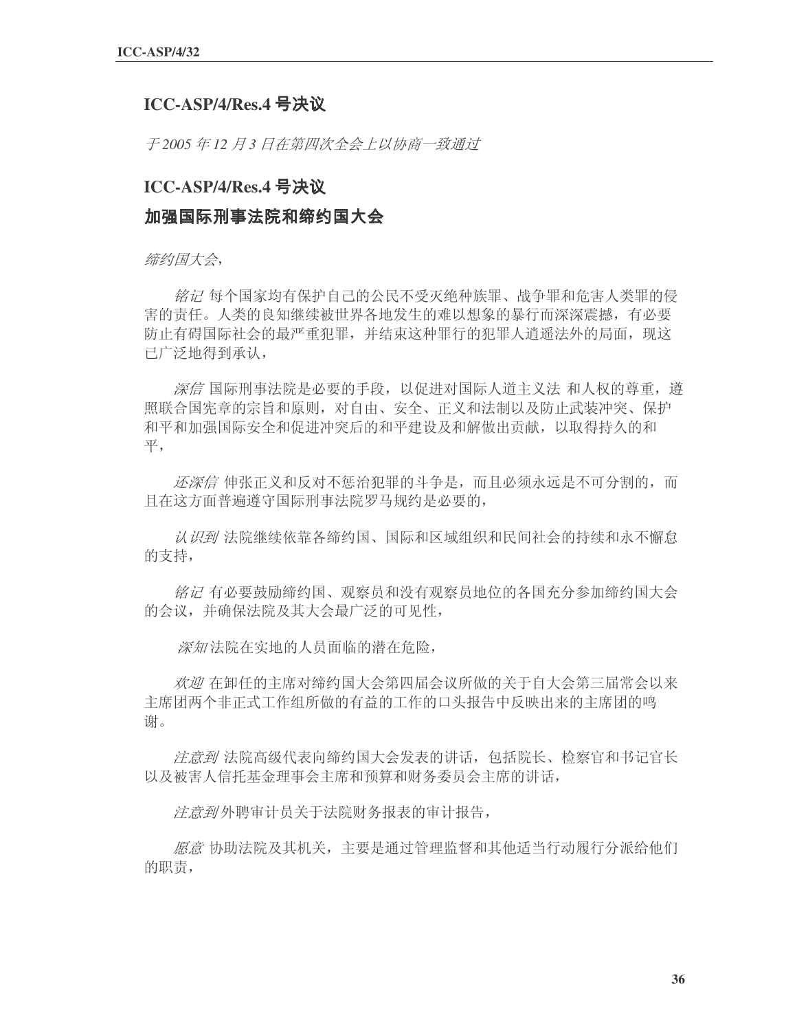## **ICC-ASP/4/Res.4**

子 2005 年 12 月 3 日在第四次全会上以协商一致通过

## **ICC-ASP/4/Res.4**

## 加强国际刑事法院和缔约国大会

缔约国大会,

纺记 每个国家均有保护自己的公民不受灭绝种族罪、战争罪和危害人类罪的侵 害的责任。人类的良知继续被世界各地发生的难以想象的暴行而深深震撼,有必要 防止有碍国际社会的最严重犯罪,并结束这种罪行的犯罪人消遥法外的局面,现这 已广泛地得到承认,

※信 国际刑事法院是必要的手段, 以促进对国际人道主义法 和人权的尊重, 遵 照联合国宪章的宗旨和原则, 对自由、安全、正义和法制以及防止武装冲突、保护 和平和加强国际安全和促进冲突后的和平建设及和解做出贡献, 以取得持久的和 ᑇˈ

还深信 伸张正义和反对不惩治犯罪的斗争是,而且必须永远是不可分割的,而 且在这方面普遍遵守国际刑事法院罗马规约是必要的,

认识到法院继续依靠各缔约国、国际和区域组织和民间社会的持续和永不懈怠 的支持,

铭记 有必要鼓励缔约国、观察员和没有观察员地位的各国充分参加缔约国大会 的会议,并确保法院及其大会最广泛的可见性,

深知法院在实地的人员面临的潜在危险,

欢迎 在卸任的主席对缔约国大会第四届会议所做的关于自大会第三届常会以来 主席团两个非正式工作组所做的有益的工作的口头报告中反映出来的主席团的鸣 谢。

<del>*注意到* 法院高级代表向缔约国大会发表的讲话,包括院长、检察官和书记官长</del> 以及被害人信托基金理事会主席和预算和财务委员会主席的讲话,

注意到外聘审计员关于法院财务报表的审计报告,

愿意 协助法院及其机关, 主要是通过管理监督和其他适当行动履行分派给他们 的职责,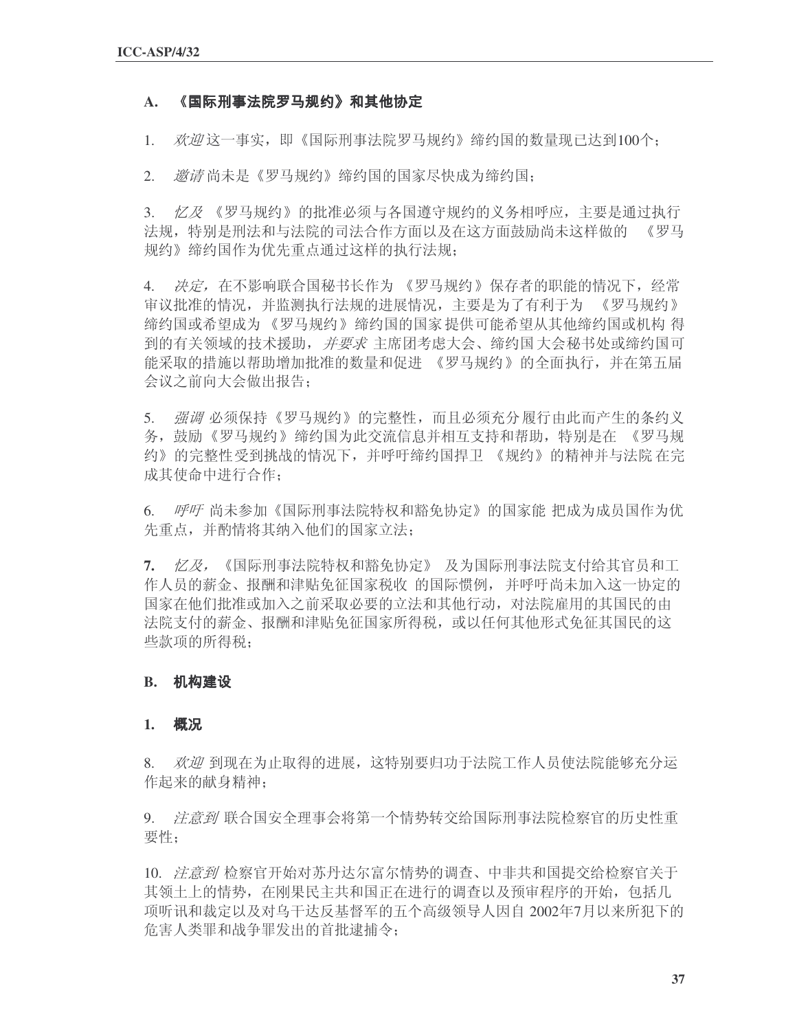## A. 《国际刑事法院罗马规约》和其他协定

1. 欢迎这一事实,即《国际刑事法院罗马规约》缔约国的数量现已达到100个:

2. 激清尚未是《罗马规约》缔约国的国家尽快成为缔约国:

3. 亿及《罗马规约》的批准必须与各国遵守规约的义务相呼应,主要是通过执行 法规, 特别是刑法和与法院的司法合作方面以及在这方面鼓励尚未这样做的 《罗马 规约》缔约国作为优先重点通过这样的执行法规:

4. 决定, 在不影响联合国秘书长作为 《罗马规约》保存者的职能的情况下, 经常 审议批准的情况,并监测执行法规的进展情况,主要是为了有利于为 《罗马规约》 缔约国或希望成为《罗马规约》缔约国的国家 提供可能希望从其他缔约国或机构 得 到的有关领域的技术援助, 并要求主席团考虑大会、缔约国大会秘书处或缔约国可 能采取的措施以帮助增加批准的数量和促进 《罗马规约》的全面执行,并在第五届 会议之前向大会做出报告:

5. 强调必须保持《罗马规约》的完整性,而且必须充分履行由此而产生的条约义 务, 鼓励《罗马规约》缔约国为此交流信息并相互支持和帮助, 特别是在 《罗马规 约》的完整性受到挑战的情况下,并呼吁缔约国捍卫 《规约》的精神并与法院 在完 成其使命中进行合作:

6. 呼吁 尚未参加《国际刑事法院特权和豁免协定》的国家能 把成为成员国作为优 先重点,并酌情将其纳入他们的国家立法:

7. 忆*及,*《国际刑事法院特权和豁免协定》 及为国际刑事法院支付给其官员和工 作人员的薪金、报酬和津贴免征国家税收 的国际惯例,并呼吁尚未加入这一协定的 国家在他们批准或加入之前采取必要的立法和其他行动,对法院雇用的其国民的由 法院支付的薪金、报酬和津贴免征国家所得税,或以任何其他形式免征其国民的这 些款项的所得税:

## **B.**

### **1.**

8. *欢迎* 到现在为止取得的进展,这特别要归功于法院工作人员使法院能够充分运 作起来的献身精神:

9. *注意到* 联合国安全理事会将第一个情势转交给国际刑事法院检察官的历史性重 要性:

10. 疗意到检察官开始对苏丹达尔富尔情势的调查、中非共和国提交给检察官关于 其领土上的情势, 在刚果民主共和国正在进行的调查以及预审程序的开始, 包括几 项听讯和裁定以及对乌干达反基督军的五个高级领导人因自 2002年7月以来所犯下的 危害人类罪和战争罪发出的首批逮捕令;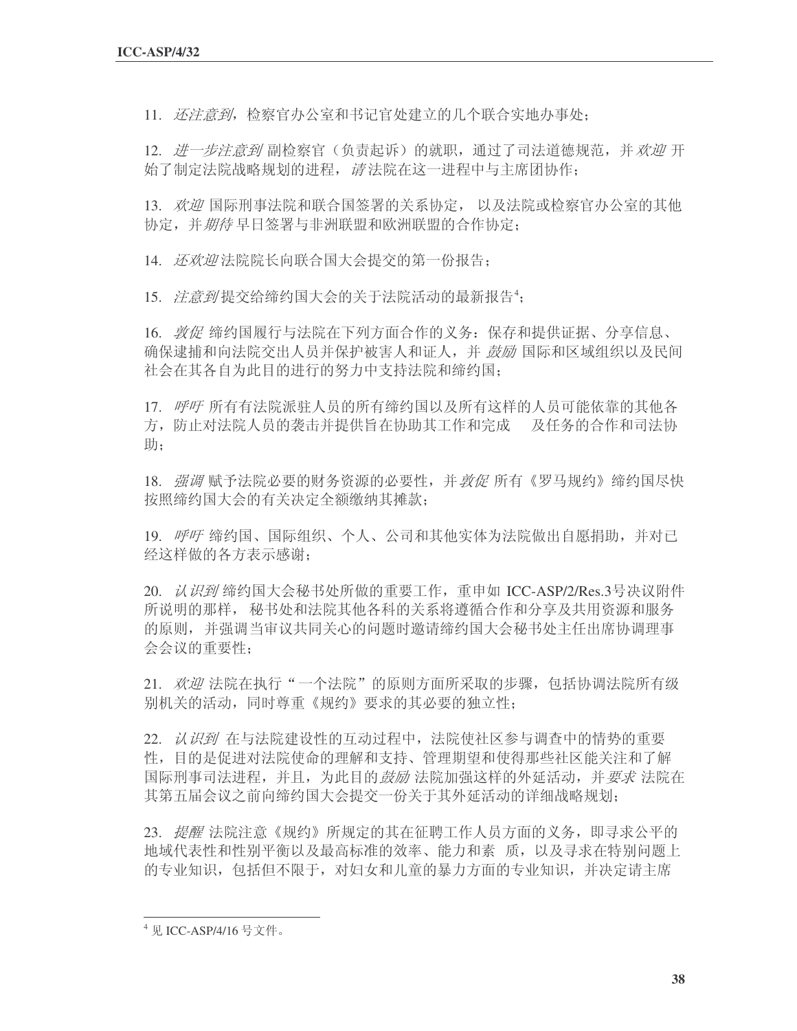11. 还注意到, 检察官办公室和书记官处建立的几个联合实地办事处;

12. 进一步注意到 副检察官(负责起诉) 的就职, 通过了司法道德规范, 并 欢迎 开 始了制定法院战略规划的进程, 请法院在这一进程中与主席团协作;

13. 欢迎国际刑事法院和联合国签署的关系协定, 以及法院或检察官办公室的其他 协定,并*期待* 早日签署与非洲联盟和欧洲联盟的合作协定:

14. 还欢迎法院院长向联合国大会提交的第一份报告:

15. *注意到* 提交给缔约国大会的关于法院活动的最新报告<sup>4</sup>;

16. 敦促缔约国履行与法院在下列方面合作的义务: 保存和提供证据、分享信息、 确保逮捕和向法院交出人员并保护被害人和证人,并 *鼓励* 国际和区域组织以及民间 社会在其各自为此目的进行的努力中支持法院和缔约国:

17. 呼吁所有有法院派驻人员的所有缔约国以及所有这样的人员可能依靠的其他各 方,防止对法院人员的袭击并提供旨在协助其工作和完成。及任务的合作和司法协 助:

18. 强调赋予法院必要的财务资源的必要性,并*敦促*所有《罗马规约》缔约国尽快 按照缔约国大会的有关决定全额缴纳其摊款;

19. 呼吁缔约国、国际组织、个人、公司和其他实体为法院做出自愿捐助,并对已 经这样做的各方表示感谢:

20. 认识到缔约国大会秘书处所做的重要工作, 重申如 ICC-ASP/2/Res.3号决议附件 所说明的那样, 秘书处和法院其他各科的关系将遵循合作和分享及共用资源和服务 的原则,并强调当审议共同关心的问题时邀请缔约国大会秘书处主任出席协调理事 会会议的重要性:

21. 欢迎法院在执行"一个法院"的原则方面所采取的步骤, 包括协调法院所有级 别机关的活动,同时尊重《规约》要求的其必要的独立性;

22. 认识到在与法院建设性的互动过程中, 法院使社区参与调查中的情势的重要 性, 目的是促进对法院使命的理解和支持、管理期望和使得那些社区能关注和了解 国际刑事司法进程,并且,为此目的*鼓励* 法院加强这样的外延活动,并*要求* 法院在 其第五届会议之前向缔约国大会提交一份关于其外延活动的详细战略规划;

23. 提醒法院注意《规约》所规定的其在征聘工作人员方面的义务, 即寻求公平的 地域代表性和性别平衡以及最高标准的效率、能力和素 质, 以及寻求在特别问题上 的专业知识,包括但不限于,对妇女和儿童的暴力方面的专业知识,并决定请主席

<sup>4</sup> 见 ICC-ASP/4/16 号文件。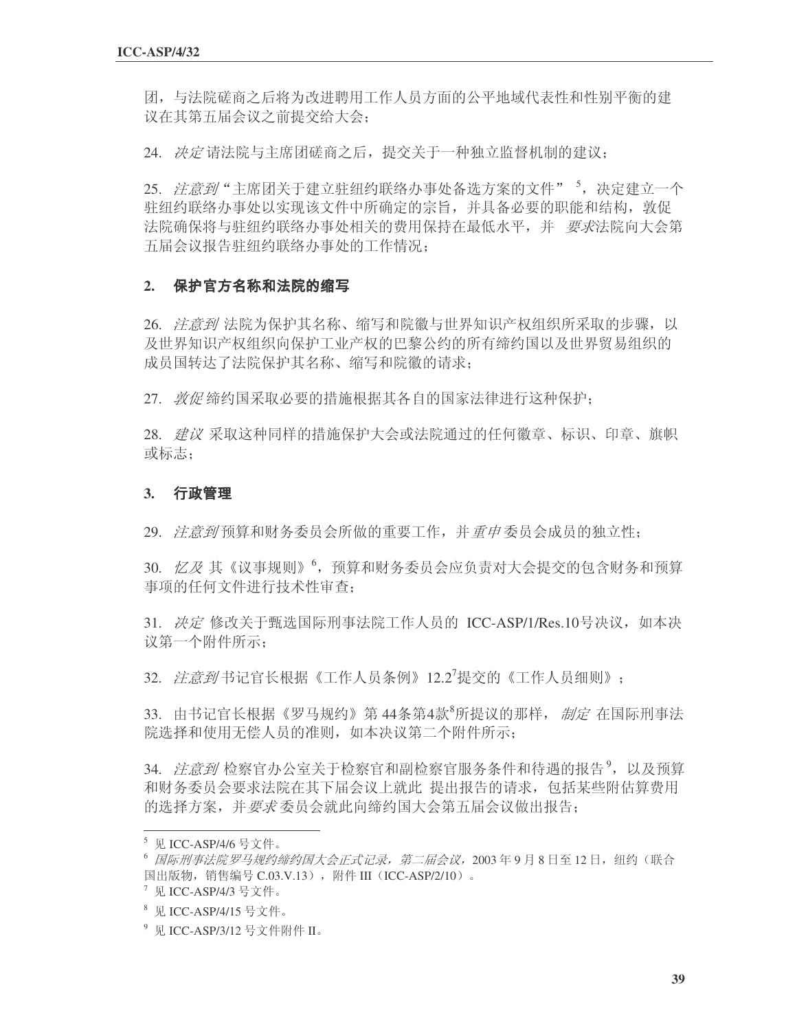团,与法院磋商之后将为改进聘用工作人员方面的公平地域代表性和性别平衡的建 议在其第五届会议之前提交给大会:

24. 决定请法院与主席团磋商之后, 提交关于一种独立监督机制的建议:

25. *注意到*"主席团关于建立驻纽约联络办事处备选方案的文件"<sup>5</sup>, 决定建立一个 驻纽约联络办事处以实现该文件中所确定的宗旨,并具备必要的职能和结构,敦促 法院确保将与驻纽约联络办事处相关的费用保持在最低水平,并 要求法院向大会第 五届会议报告驻纽约联络办事处的工作情况:

#### **2.**

26. *注意到* 法院为保护其名称、缩写和院徽与世界知识产权组织所采取的步骤, 以 及世界知识产权组织向保护工业产权的巴黎公约的所有缔约国以及世界贸易组织的 成员国转达了法院保护其名称、缩写和院徽的请求:

27. *敦促* 缔约国采取必要的措施根据其各自的国家法律讲行这种保护:

28. *建议* 采取这种同样的措施保护大会或法院通过的任何徽章、标识、印章、旗帜 或标志:

## **3.**

29. *注意到* 预算和财务委员会所做的重要工作, 并*重申委*员会成员的独立性:

30.  $\angle$ Z 其《议事规则》<sup>6</sup>, 预算和财务委员会应负责对大会提交的包含财务和预算 事项的任何文件进行技术性审查:

31. 决定修改关于甄选国际刑事法院工作人员的 ICC-ASP/1/Res.10号决议, 如本决 议第一个附件所示:

32. *注意到*书记官长根据《工作人员条例》12.2<sup>7</sup>提交的《工作人员细则》;

33. 由书记官长根据《罗马规约》第 44条第4款<sup>8</sup>所提议的那样, *制定* 在国际刑事法 院选择和使用无偿人员的准则, 如本决议第二个附件所示:

34. *注意到* 检察官办公室关于检察官和副检察官服务条件和待遇的报告<sup>9</sup>, 以及预算 和财务委员会要求法院在其下届会议上就此 提出报告的请求, 包括某些附估算费用 的选择方案,并要求委员会就此向缔约国大会第五届会议做出报告:

 $5$  见 ICC-ASP/4/6 号文件。

<sup>6</sup> 国际刑事法院罗马规约缔约国大会正式记录,第二届会议, 2003年9月8日至12日, 纽约(联合 国出版物, 销售编号 C.03.V.13), 附件 III (ICC-ASP/2/10)。

 $\sqrt[7]{2}$  见 ICC-ASP/4/3 号文件。

<sup>8</sup> 见 ICC-ASP/4/15 号文件。

<sup>&</sup>lt;sup>9</sup> 见 ICC-ASP/3/12 号文件附件 II。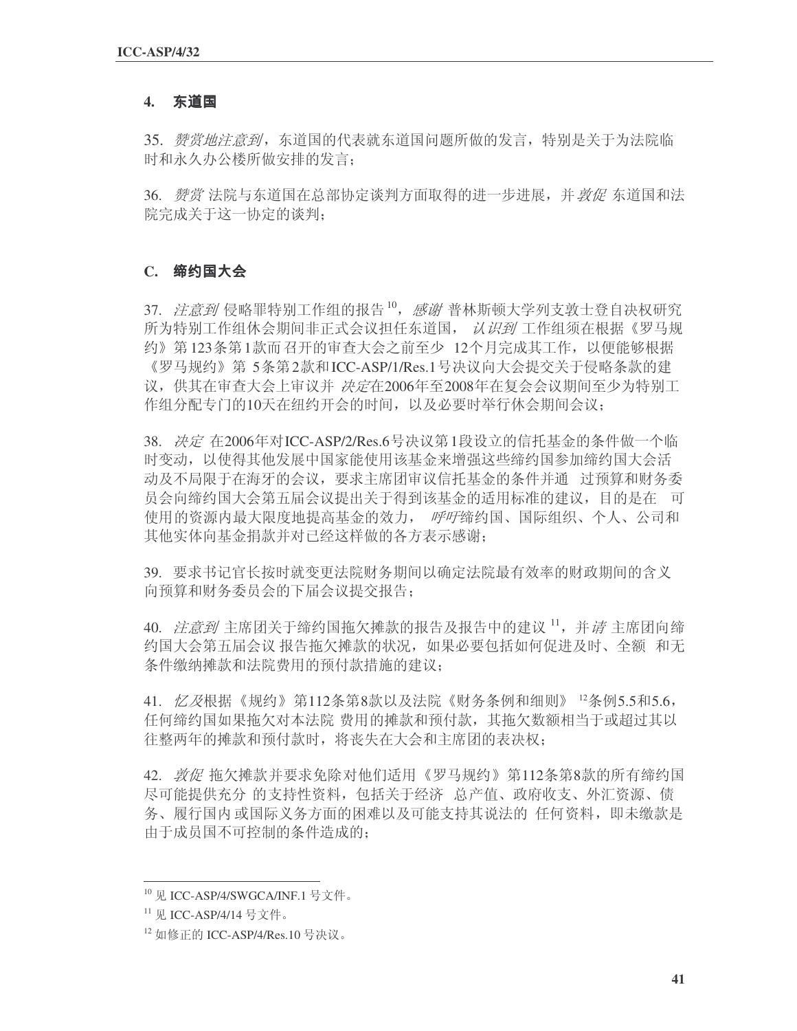## **4.**

35. 赞赏地注意到, 东道国的代表就东道国问题所做的发言, 特别是关于为法院临 时和永久办公楼所做安排的发言:

36. 鬱赏 法院与东道国在总部协定谈判方面取得的进一步进展, 并 敦促 东道国和法 院完成关于这一协定的谈判;

#### **C.**

37. *注意到*侵略罪特别工作组的报告10, 感谢普林斯顿大学列支敦士登自决权研究 所为特别工作组休会期间非正式会议担任东道国, 认识到 工作组须在根据《罗马规 约》第123条第1款而召开的审查大会之前至少 12个月完成其工作,以便能够根据 《罗马规约》第5条第2款和ICC-ASP/1/Res.1号决议向大会提交关于侵略条款的建 议, 供其在审查大会上审议并 决定在2006年至2008年在复会会议期间至少为特别工 作组分配专门的10天在纽约开会的时间,以及必要时举行休会期间会议:

38. 决定 在2006年对ICC-ASP/2/Res.6号决议第1段设立的信托基金的条件做一个临 时变动,以使得其他发展中国家能使用该基金来增强这些缔约国参加缔约国大会活 动及不局限于在海牙的会议,要求主席团审议信托基金的条件并通 过预算和财务委 员会问缔约国大会第五届会议提出关于得到该基金的适用标准的建议,目的是在一可 使用的资源内最大限度地提高基金的效力, 呼吁缔约国、国际组织、个人、公司和 其他实体向基金捐款并对已经这样做的各方表示感谢;

39. 要求书记官长按时就变更法院财务期间以确定法院最有效率的财政期间的含义 向预算和财务委员会的下届会议提交报告:

40. *注意到* 主席团关于缔约国拖欠摊款的报告及报告中的建议<sup>11</sup>, 并*请* 主席团向缔 约国大会第五届会议报告拖欠摊款的状况, 如果必要包括如何促进及时、全额 和无 条件缴纳摊款和法院费用的预付款措施的建议;

41. 忆及根据《规约》第112条第8款以及法院《财务条例和细则》 <sup>12</sup>条例5.5和5.6, 任何缔约国如果拖欠对本法院 费用的摊款和预付款, 其拖欠数额相当于或超过其以 往整两年的摊款和预付款时, 将丧失在大会和主席团的表决权:

42. 敦促拖欠摊款并要求免除对他们适用《罗马规约》第112条第8款的所有缔约国 尽可能提供充分 的支持性资料, 包括关于经济 总产值、政府收支、外汇资源、债 务、履行国内或国际义务方面的困难以及可能支持其说法的 任何资料, 即未缴款是 由于成员国不可控制的条件造成的:

<sup>&</sup>lt;sup>10</sup> 见 ICC-ASP/4/SWGCA/INF.1 号文件。

<sup>&</sup>lt;sup>11</sup> 见 ICC-ASP/4/14 号文件。

 $12 \text{ µ\'e}$  F的 ICC-ASP/4/Res.10 号决议。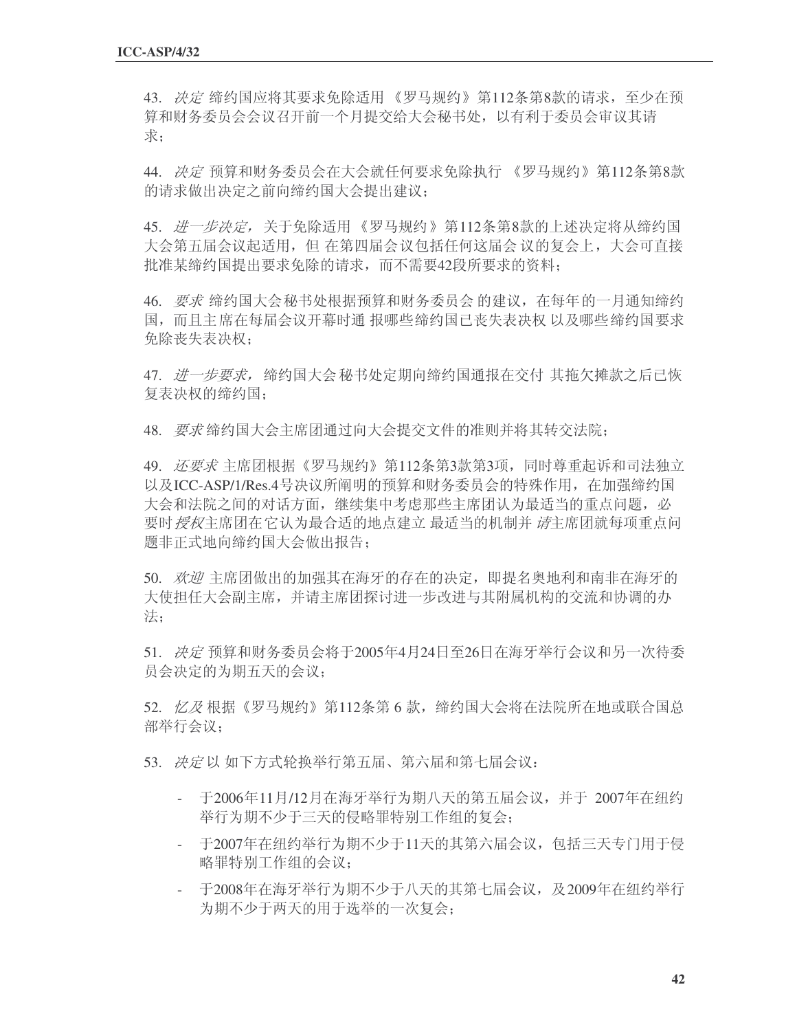43. 决定缔约国应将其要求免除适用《罗马规约》第112条第8款的请求, 至少在预 算和财务委员会会议召开前一个月提交给大会秘书处, 以有利于委员会审议其请 ∴

44. 决定预算和财务委员会在大会就任何要求免除执行 《罗马规约》第112条第8款 的请求做出决定之前向缔约国大会提出建议;

45. *进一步决定,*关于免除适用 《罗马规约》第112条第8款的上述决定将从缔约国 大会第五届会议起适用,但 在第四届会议包括任何这届会 议的复会上,大会可直接 批准某缔约国提出要求免除的请求,而不需要42段所要求的资料;

46. 要求缔约国大会秘书处根据预算和财务委员会 的建议, 在每年的一月通知缔约 国,而且主席在每届会议开幕时通报哪些缔约国已丧失表决权 以及哪些缔约国要求 免除丧失表决权:

47. 进一步要求, 缔约国大会秘书处定期向缔约国通报在交付 其拖欠摊款之后已恢 复表决权的缔约国:

48. 要求缔约国大会主席团通过向大会提交文件的准则并将其转交法院;

49. *还要求*主席团根据《罗马规约》第112条第3款第3项,同时尊重起诉和司法独立 以及ICC-ASP/1/Res.4号决议所阐明的预算和财务委员会的特殊作用, 在加强缔约国 大会和法院之间的对话方面, 继续集中考虑那些主席团认为最适当的重点问题, 必 要时 授权主席团在它认为最合适的地点建立 最适当的机制并 *请*主席团就每项重点问 题非正式地向缔约国大会做出报告:

50. 欢迎主席团做出的加强其在海牙的存在的决定,即提名奥地利和南非在海牙的 大使担任大会副主席,并请主席团探讨进一步改进与其附属机构的交流和协调的办 法;

51. 决定预算和财务委员会将于2005年4月24日至26日在海牙举行会议和另一次待委 员会决定的为期五天的会议;

52. 忆及根据《罗马规约》第112条第6款, 缔约国大会将在法院所在地或联合国总 部举行会议:

53. 决定以如下方式轮换举行第五届、第六届和第七届会议:

- 于2006年11月/12月在海牙举行为期八天的第五届会议,并于 2007年在纽约 举行为期不少于三天的侵略罪特别工作组的复会:
- 于2007年在纽约举行为期不少于11天的其第六届会议,包括三天专门用于侵 略罪特别工作组的会议:
- 于2008年在海牙举行为期不少于八天的其第七届会议, 及2009年在纽约举行 为期不少于两天的用于选举的一次复会;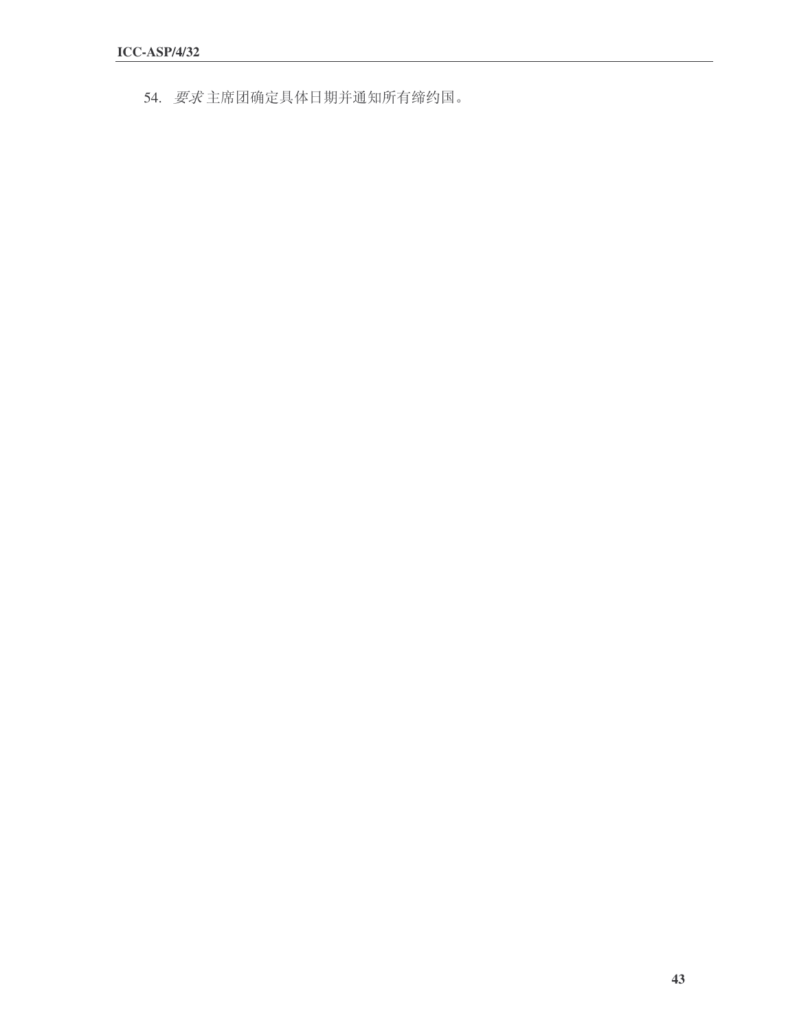54. 要求主席团确定具体日期并通知所有缔约国。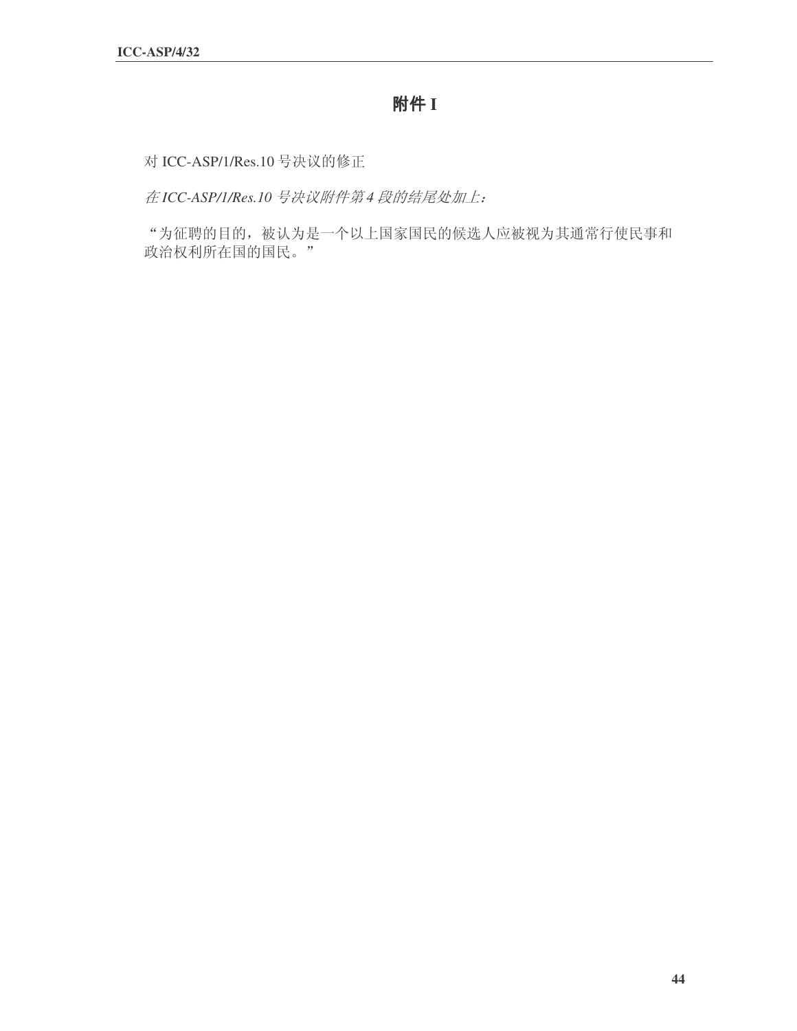# **附件** I

对 ICC-ASP/1/Res.10 号决议的修正

在ICC-ASP/1/Res.10<sup>号</sup>决议附件第4段的结尾处加上:

"为征聘的目的, 被认为是一个以上国家国民的候选人应被视为其通常行使民事和 政治权利所在国的国民。"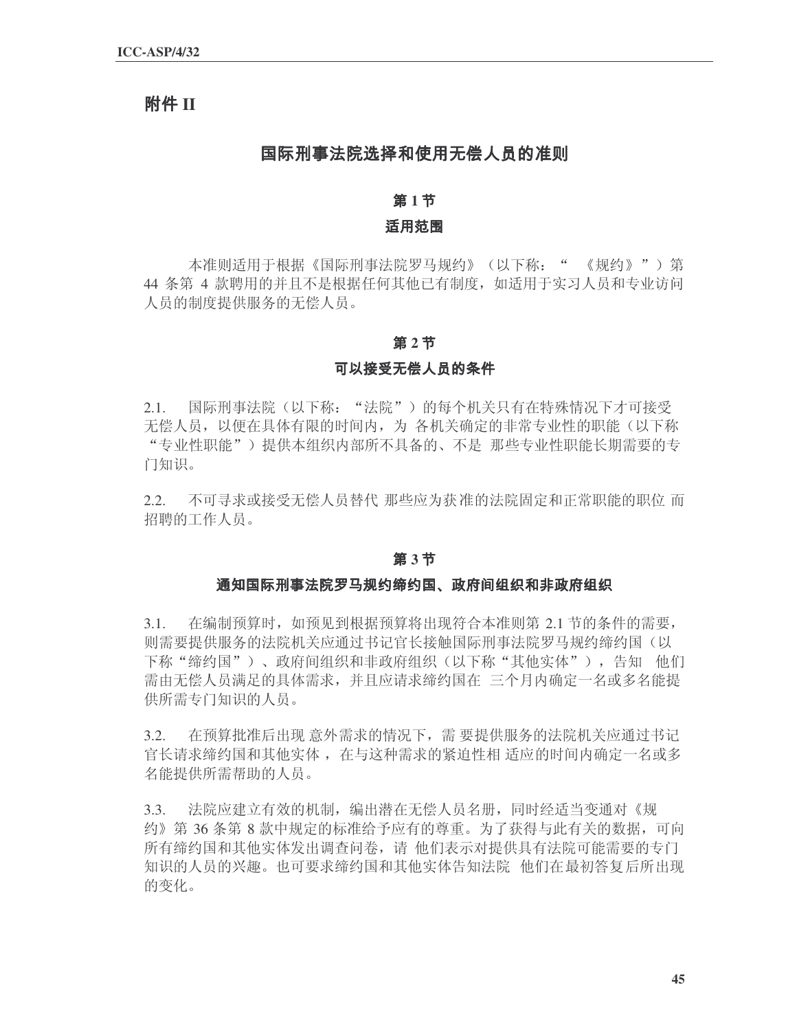## **II**

## 国际刑事法院选择和使用无偿人员的准则

## 第1节

#### 适用范围

本准则适用于根据《国际刑事法院罗马规约》(以下称: " 《规约》")第 44 条第 4 款聘用的并且不是根据任何其他已有制度, 如适用于实习人员和专业访问 人员的制度提供服务的无偿人员。

#### 第2节

#### 可以接受无偿人员的条件

2.1. 国际刑事法院(以下称: "法院")的每个机关只有在特殊情况下才可接受 无偿人员, 以便在具体有限的时间内, 为 各机关确定的非常专业性的职能(以下称 "专业性职能")提供本组织内部所不具备的、不是 那些专业性职能长期需要的专 门知识。

2.2. 不可寻求或接受无偿人员替代 那些应为获准的法院固定和正常职能的职位 而 招聘的工作人员。

#### 第3节

#### 通知国际刑事法院罗马规约缔约国、政府间组织和非政府组织

3.1. 在编制预算时, 如预见到根据预算将出现符合本准则第 2.1 节的条件的需要, 则需要提供服务的法院机关应通过书记官长接触国际刑事法院罗马规约缔约国(以 下称"��约国")、政府间组织和非政府组织(以下称"其他实体"),告知 他们 需由无偿人员满足的具体需求,并且应请求缔约国在 三个月内确定一名或多名能提 供所需专门知识的人员。

3.2. 在预算批准后出现意外需求的情况下,需要提供服务的法院机关应通过书记 官长请求缔约国和其他实体, 在与这种需求的紧迫性相 适应的时间内确定一名或多 名能提供所需帮助的人员。

3.3. 法院应建立有效的机制, 编出潜在无偿人员名册, 同时经适当变通对《规 约》第 36 条第 8 款中规定的标准给予应有的尊重。为了获得与此有关的数据,可向 所有缔约国和其他实体发出调查问卷,请 他们表示对提供具有法院可能需要的专门 知识的人员的兴趣。也可要求缔约国和其他实体告知法院 他们在最初答复后所出现 的变化。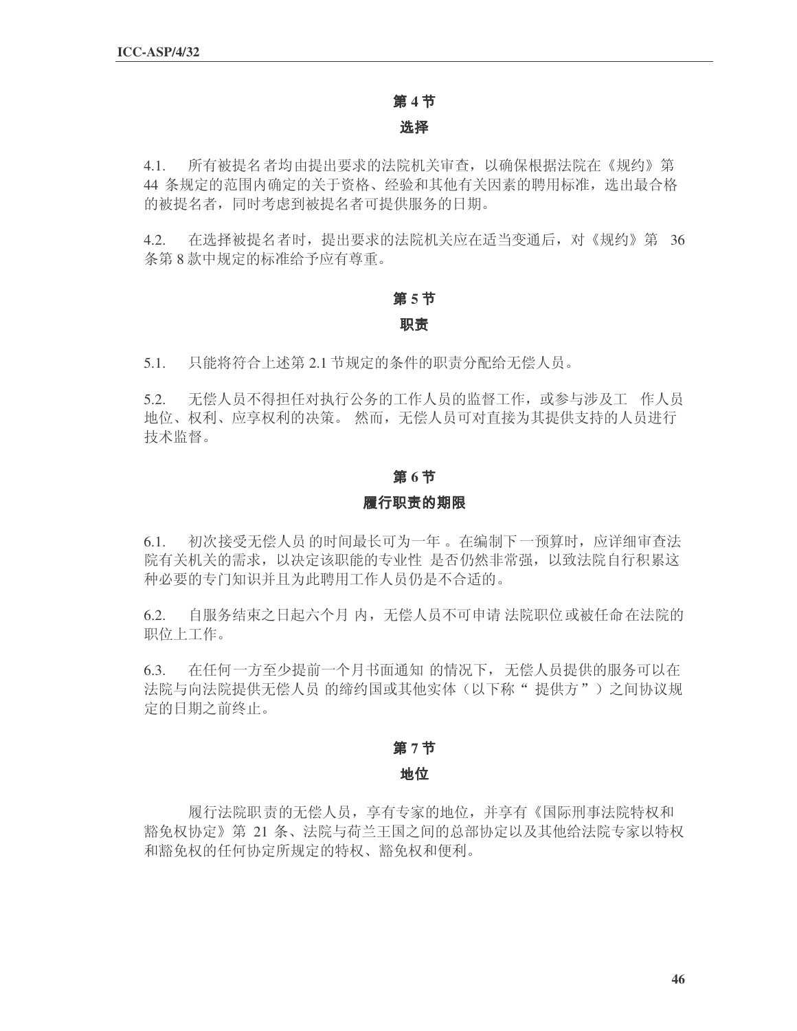#### 第4节

#### 选择

4.1. 所有被提名者均由提出要求的法院机关审查, 以确保根据法院在《规约》第 44 条规定的范围内确定的关于资格、经验和其他有关因素的聘用标准, 选出最合格 的被提名者, 同时考虑到被提名者可提供服务的日期。

4.2. 在选择被提名者时,提出要求的法院机关应在适当变通后,对《规约》第 36 条第8款中规定的标准给予应有尊重。

# 第5节

## 职责

5.1. 只能将符合上述第 2.1 节规定的条件的职责分配给无偿人员。

5.2. 无偿人员不得担任对执行公务的工作人员的监督工作,或参与涉及工 作人员 地位、权利、应享权利的决策。然而,无偿人员可对直接为其提供支持的人员进行 技术监督。

## 第6节

## 履行职责的期限

6.1. 初次接受无偿人员的时间最长可为一年。在编制下一预算时,应详细审查法 院有关机关的需求,以决定该职能的专业性 是否仍然非常强,以致法院自行积累这 种必要的专门知识并且为此聘用工作人员仍是不合适的。

6.2. 自服务结束之日起六个月内,无偿人员不可申请 法院职位或被任命在法院的 职位上工作。

6.3. 在任何一方至少提前一个月书面通知 的情况下, 无偿人员提供的服务可以在 法院与向法院提供无偿人员的缔约国或其他实体(以下称"提供方")之间协议规 定的日期之前终止。

## 第7节

## 地位

履行法院职责的无偿人员, 享有专家的地位, 并享有《国际刑事法院特权和 豁免权协定》第21条、法院与荷兰王国之间的总部协定以及其他给法院专家以特权 和豁免权的任何协定所规定的特权、豁免权和便利。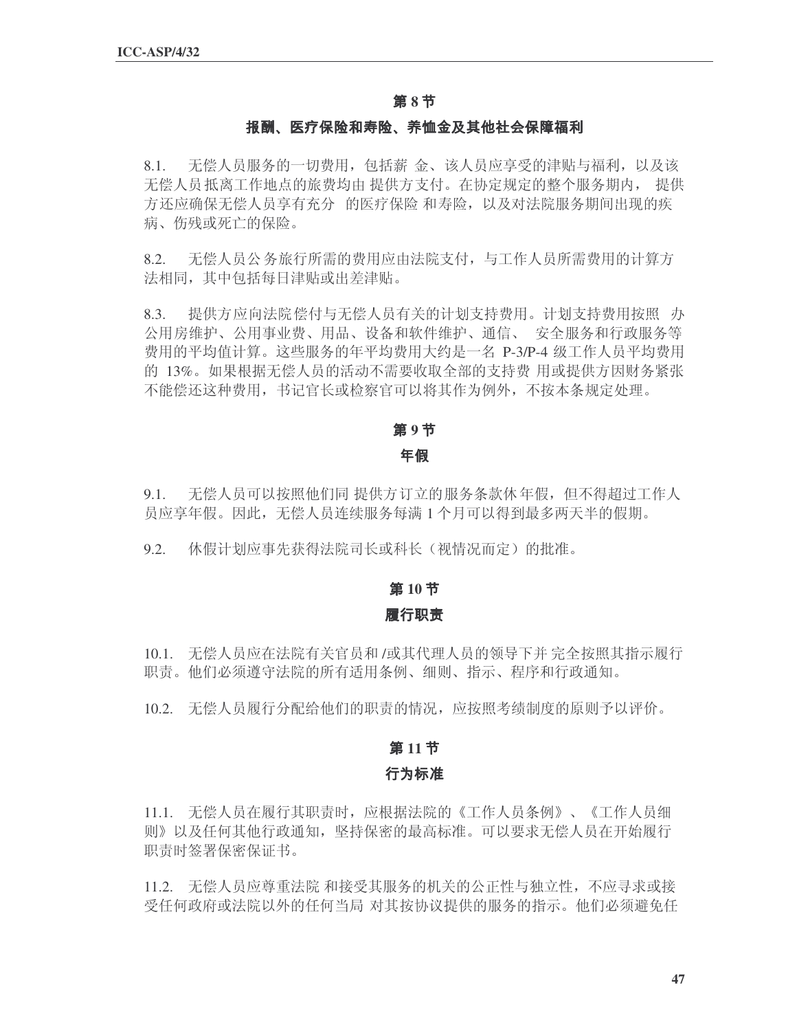## 第8节

#### 报酬、医疗保险和寿险、养恤金及其他社会保障福利

8.1. 无偿人员服务的一切费用, 包括薪 金、该人员应享受的津贴与福利, 以及该 无偿人员抵离工作地点的旅费均由 提供方支付。在协定规定的整个服务期内, 提供 方还应确保无偿人员享有充分 的医疗保险 和寿险,以及对法院服务期间出现的疾 病、伤残或死亡的保险。

8.2. 无偿人员公务旅行所需的费用应由法院支付,与工作人员所需费用的计算方 法相同, 其中包括每日津贴或出差津贴。

8.3. 提供方应向法院偿付与无偿人员有关的计划支持费用。计划支持费用按照 办 公用房维护、公用事业费、用品、设备和软件维护、通信、 安全服务和行政服务等 费用的平均值计算。这些服务的年平均费用大约是一名 P-3/P-4 级工作人员平均费用 的 13%。如果根据无偿人员的活动不需要收取全部的支持费 用或提供方因财务紧张 不能偿还这种费用, 书记官长或检察官可以将其作为例外, 不按本条规定处理。

#### 第9节

#### 年假

9.1. 无偿人员可以按照他们同提供方订立的服务条款休年假,但不得超过工作人 员应享年假。因此,无偿人员连续服务每满1个月可以得到最多两天半的假期。

9.2. 休假计划应事先获得法院司长或科长(视情况而定)的批准。

#### 第10节

#### 履行职责

10.1. 无偿人员应在法院有关官员和 /或其代理人员的领导下并 完全按照其指示履行 职责。他们必须遵守法院的所有适用条例、细则、指示、程序和行政通知。

10.2. 无偿人员履行分配给他们的职责的情况,应按照考绩制度的原则予以评价。

## 第11节

#### 行为标准

11.1. 无偿人员在履行其职责时,应根据法院的《工作人员条例》、《工作人员细 则》以及任何其他行政通知,坚持保密的最高标准。可以要求无偿人员在开始履行 职责时签署保密保证书。

11.2. 无偿人员应尊重法院 和接受其服务的机关的公正性与独立性, 不应寻求或接 受任何政府或法院以外的任何当局 对其按协议提供的服务的指示。他们必须避免任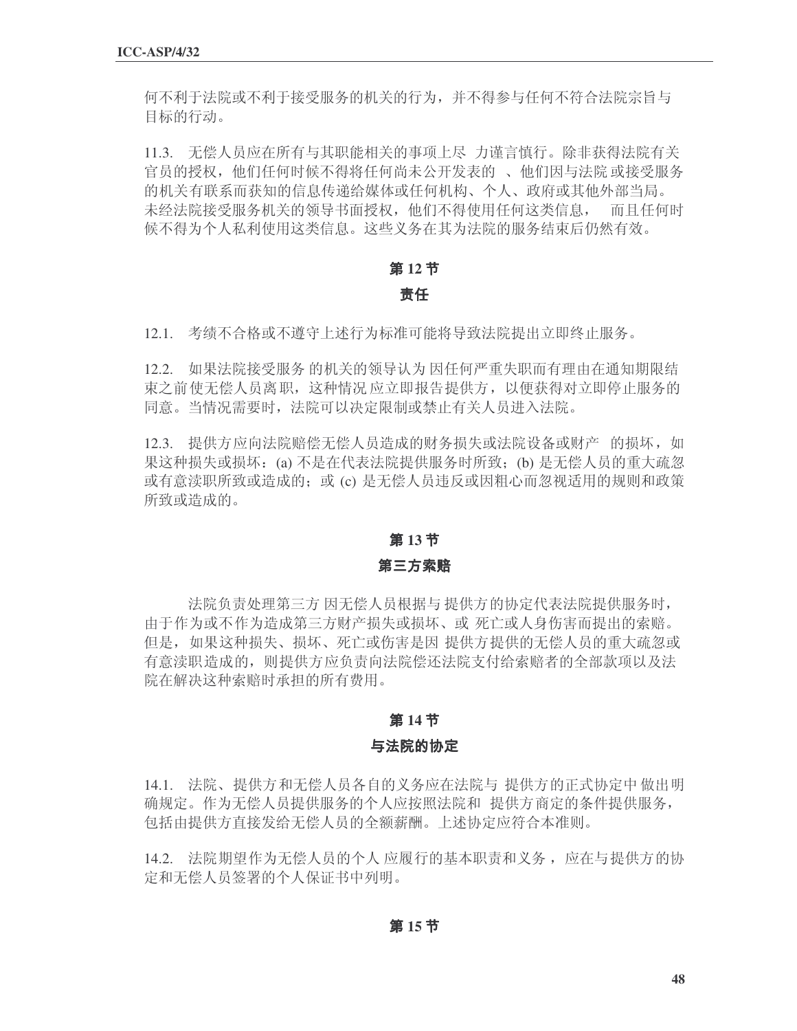何不利干泆院或不利于接受服务的机关的行为,并不得参与任何不符合法院宗旨与 目标的行动。

11.3. 无偿人员应在所有与其职能相关的事项上尽 力谨言慎行。除非获得法院有关 官员的授权, 他们任何时候不得将任何尚未公开发表的 、他们因与法院或接受服务 的机关有联系而获知的信息传递给媒体或任何机构、个人、政府或其他外部当局。 未经法院接受服务机关的领导书面授权,他们不得使用任何这类信息,而且任何时 候不得为个人私利使用这类信息。这些义务在其为法院的服务结束后仍然有效。

## 第12节

## 责任

12.1. 考绩不合格或不遵守上述行为标准可能将导致法院提出立即终止服务。

12.2. 如果法院接受服务的机关的领导认为因任何严重失职而有理由在通知期限结 束之前使无偿人员离职,这种情况应立即报告提供方,以便获得对立即停止服务的 同意。当情况需要时, 法院可以决定限制或禁止有关人员进入法院。

12.3. 提供方应向法院赔偿无偿人员造成的财务损失或法院设备或财产 的损坏, 如 果这种损失或损坏: (a) 不是在代表法院提供服务时所致: (b) 是无偿人员的重大疏忽 或有意渎职所致或造成的; 或(c) 是无偿人员违反或因粗心而忽视适用的规则和政策 所致或造成的。

#### 第13节

#### 第三方索赔

法院负责处理第三方因无偿人员根据与提供方的协定代表法院提供服务时, 由于作为或不作为造成第三方财产损失或损坏、或 死亡或人身伤害而提出的索赔。 但是,如果这种损失、损坏、死亡或伤害是因 提供方提供的无偿人员的重大疏忽或 有意渎职造成的, 则提供方应负责向法院偿还法院支付给索赔者的全部款项以及法 院在解决这种索赔时承担的所有费用。

### 第14节

#### 与法院的协定

14.1. 法院、提供方和无偿人员各自的义务应在法院与 提供方的正式协定中做出明 确规定。作为无偿人员提供服务的个人应按照法院和 提供方商定的条件提供服务, 包括由提供方直接发给无偿人员的全额薪酬。上述协定应符合本准则。

14.2. 法院期望作为无偿人员的个人 应履行的基本职责和义务, 应在与提供方的协 定和无偿人员签署的个人保证书中列明。

第15节